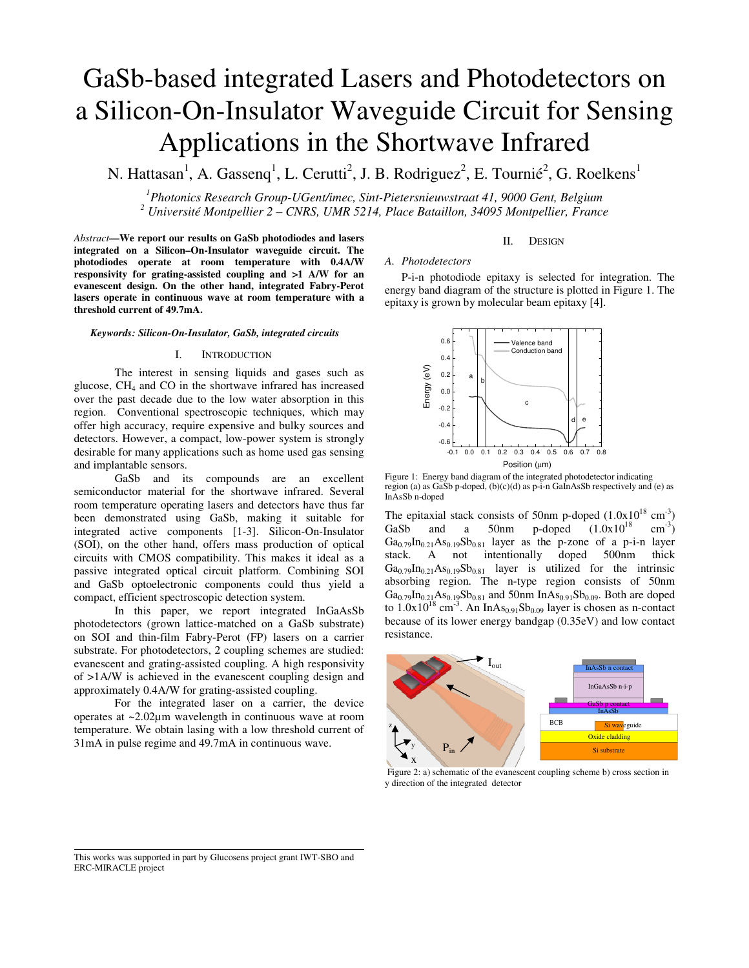# GaSb-based integrated Lasers and Photodetectors on a Silicon-On-Insulator Waveguide Circuit for Sensing Applications in the Shortwave Infrared

N. Hattasan<sup>1</sup>, A. Gassenq<sup>1</sup>, L. Cerutti<sup>2</sup>, J. B. Rodriguez<sup>2</sup>, E. Tournié<sup>2</sup>, G. Roelkens<sup>1</sup>

*1 Photonics Research Group-UGent/imec, Sint-Pietersnieuwstraat 41, 9000 Gent, Belgium 2 Université Montpellier 2 – CNRS, UMR 5214, Place Bataillon, 34095 Montpellier, France* 

*Abstract***—We report our results on GaSb photodiodes and lasers integrated on a Silicon–On-Insulator waveguide circuit. The photodiodes operate at room temperature with 0.4A/W responsivity for grating-assisted coupling and >1 A/W for an evanescent design. On the other hand, integrated Fabry-Perot lasers operate in continuous wave at room temperature with a threshold current of 49.7mA.** 

#### *Keywords: Silicon-On-Insulator, GaSb, integrated circuits*

## I. INTRODUCTION

The interest in sensing liquids and gases such as glucose,  $CH<sub>4</sub>$  and CO in the shortwave infrared has increased over the past decade due to the low water absorption in this region. Conventional spectroscopic techniques, which may offer high accuracy, require expensive and bulky sources and detectors. However, a compact, low-power system is strongly desirable for many applications such as home used gas sensing and implantable sensors.

GaSb and its compounds are an excellent semiconductor material for the shortwave infrared. Several room temperature operating lasers and detectors have thus far been demonstrated using GaSb, making it suitable for integrated active components [1-3]. Silicon-On-Insulator (SOI), on the other hand, offers mass production of optical circuits with CMOS compatibility. This makes it ideal as a passive integrated optical circuit platform. Combining SOI and GaSb optoelectronic components could thus yield a compact, efficient spectroscopic detection system.

In this paper, we report integrated InGaAsSb photodetectors (grown lattice-matched on a GaSb substrate) on SOI and thin-film Fabry-Perot (FP) lasers on a carrier substrate. For photodetectors, 2 coupling schemes are studied: evanescent and grating-assisted coupling. A high responsivity of >1A/W is achieved in the evanescent coupling design and approximately 0.4A/W for grating-assisted coupling.

For the integrated laser on a carrier, the device operates at ~2.02µm wavelength in continuous wave at room temperature. We obtain lasing with a low threshold current of 31mA in pulse regime and 49.7mA in continuous wave.

## II. DESIGN

# *A. Photodetectors*

P-i-n photodiode epitaxy is selected for integration. The energy band diagram of the structure is plotted in Figure 1. The epitaxy is grown by molecular beam epitaxy [4].



Figure 1: Energy band diagram of the integrated photodetector indicating region (a) as GaSb p-doped, (b)(c)(d) as p-i-n GaInAsSb respectively and (e) as InAsSb n-doped

The epitaxial stack consists of 50nm p-doped  $(1.0x10^{18} \text{ cm}^3)$ GaSb and a 50nm p-doped  $(1.0x10^{18})$  $\text{cm}^{-3}$ )  $Ga_{0.79}In_{0.21}As_{0.19}Sb_{0.81}$  layer as the p-zone of a p-i-n layer stack. A not intentionally doned 500nm thick A not intentionally doped 500nm thick  $Ga_{0.79}In_{0.21}As_{0.19}Sb_{0.81}$  layer is utilized for the intrinsic absorbing region. The n-type region consists of 50nm  $Ga_{0.79}In_{0.21}As_{0.19}Sb_{0.81}$  and 50nm InAs<sub>0.91</sub>Sb<sub>0.09</sub>. Both are doped to  $1.0x10^{18}$  cm<sup>-3</sup>. An InAs<sub>0.91</sub>Sb<sub>0.09</sub> layer is chosen as n-contact because of its lower energy bandgap (0.35eV) and low contact resistance.



 Figure 2: a) schematic of the evanescent coupling scheme b) cross section in y direction of the integrated detector

This works was supported in part by Glucosens project grant IWT-SBO and ERC-MIRACLE project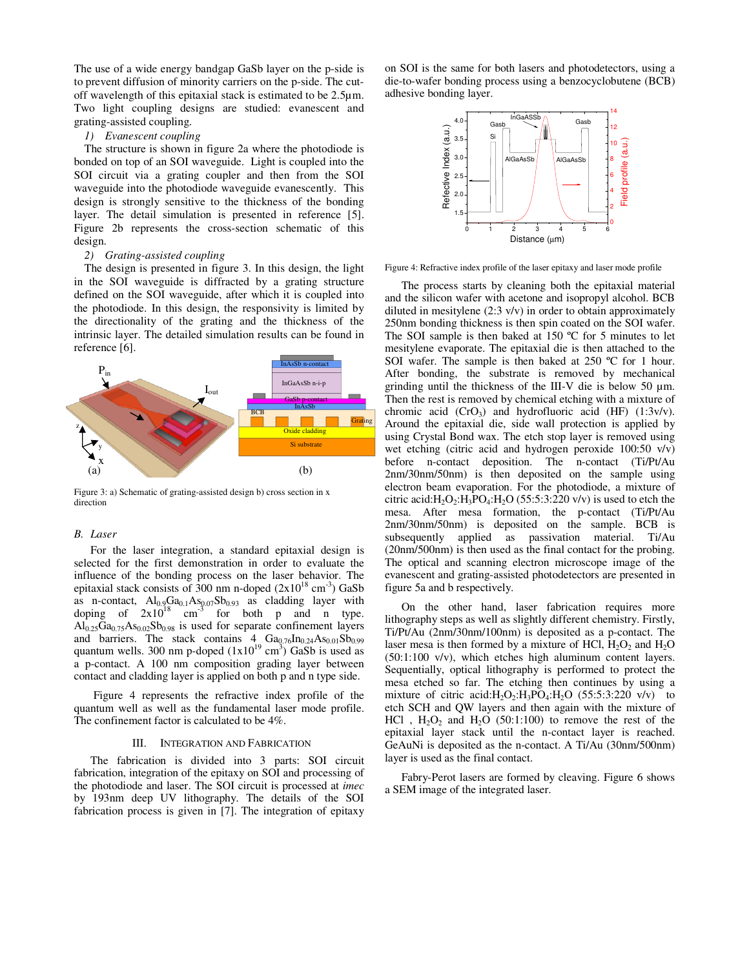The use of a wide energy bandgap GaSb layer on the p-side is to prevent diffusion of minority carriers on the p-side. The cutoff wavelength of this epitaxial stack is estimated to be 2.5µm. Two light coupling designs are studied: evanescent and grating-assisted coupling.

# *1) Evanescent coupling*

The structure is shown in figure 2a where the photodiode is bonded on top of an SOI waveguide. Light is coupled into the SOI circuit via a grating coupler and then from the SOI waveguide into the photodiode waveguide evanescently. This design is strongly sensitive to the thickness of the bonding layer. The detail simulation is presented in reference [5]. Figure 2b represents the cross-section schematic of this design.

# *2) Grating-assisted coupling*

The design is presented in figure 3. In this design, the light in the SOI waveguide is diffracted by a grating structure defined on the SOI waveguide, after which it is coupled into the photodiode. In this design, the responsivity is limited by the directionality of the grating and the thickness of the intrinsic layer. The detailed simulation results can be found in reference [6].



Figure 3: a) Schematic of grating-assisted design b) cross section in x direction

# *B. Laser*

For the laser integration, a standard epitaxial design is selected for the first demonstration in order to evaluate the influence of the bonding process on the laser behavior. The epitaxial stack consists of 300 nm n-doped  $(2x10^{18} \text{ cm}^3)$  GaSb as n-contact,  $\text{Al}_{0.9}\text{Ga}_{0.1}\text{As}_{0.07}\text{Sb}_{0.93}$  as cladding layer with doping of  $2x10^{18}$  cm<sup>-3</sup> for both p and n type.  $Al_{0.25}Ga_{0.75}As_{0.02}Sb_{0.98}$  is used for separate confinement layers and barriers. The stack contains  $4\int_{0} Ga_{0.76}In_{0.24}As_{0.01}Sb_{0.99}$ quantum wells. 300 nm p-doped  $(1x10^{19} \text{ cm}^3)$  GaSb is used as a p-contact. A 100 nm composition grading layer between contact and cladding layer is applied on both p and n type side.

 Figure 4 represents the refractive index profile of the quantum well as well as the fundamental laser mode profile. The confinement factor is calculated to be 4%.

#### III. INTEGRATION AND FABRICATION

The fabrication is divided into 3 parts: SOI circuit fabrication, integration of the epitaxy on SOI and processing of the photodiode and laser. The SOI circuit is processed at *imec* by 193nm deep UV lithography. The details of the SOI fabrication process is given in  $\overline{7}$ . The integration of epitaxy

on SOI is the same for both lasers and photodetectors, using a die-to-wafer bonding process using a benzocyclobutene (BCB) adhesive bonding layer.



Figure 4: Refractive index profile of the laser epitaxy and laser mode profile

The process starts by cleaning both the epitaxial material and the silicon wafer with acetone and isopropyl alcohol. BCB diluted in mesitylene (2:3 v/v) in order to obtain approximately 250nm bonding thickness is then spin coated on the SOI wafer. The SOI sample is then baked at  $150^{\circ}$ C for 5 minutes to let mesitylene evaporate. The epitaxial die is then attached to the SOI wafer. The sample is then baked at 250 °C for 1 hour. After bonding, the substrate is removed by mechanical grinding until the thickness of the III-V die is below 50 µm. Then the rest is removed by chemical etching with a mixture of chromic acid  $(CrO_3)$  and hydrofluoric acid  $(HF)$   $(1:3v/v)$ . Around the epitaxial die, side wall protection is applied by using Crystal Bond wax. The etch stop layer is removed using wet etching (citric acid and hydrogen peroxide 100:50 v/v) before n-contact deposition. The n-contact (Ti/Pt/Au 2nm/30nm/50nm) is then deposited on the sample using electron beam evaporation. For the photodiode, a mixture of citric acid: $H_2O_2$ : $H_3PO_4$ : $H_2O$  (55:5:3:220 v/v) is used to etch the mesa. After mesa formation, the p-contact (Ti/Pt/Au 2nm/30nm/50nm) is deposited on the sample. BCB is subsequently applied as passivation material. Ti/Au (20nm/500nm) is then used as the final contact for the probing. The optical and scanning electron microscope image of the evanescent and grating-assisted photodetectors are presented in figure 5a and b respectively.

On the other hand, laser fabrication requires more lithography steps as well as slightly different chemistry. Firstly, Ti/Pt/Au (2nm/30nm/100nm) is deposited as a p-contact. The laser mesa is then formed by a mixture of HCl,  $H_2O_2$  and  $H_2O$ (50:1:100 v/v), which etches high aluminum content layers. Sequentially, optical lithography is performed to protect the mesa etched so far. The etching then continues by using a mixture of citric acid: $H_2O_2$ : $H_3PO_4$ : $H_2O$  (55:5:3:220 v/v) to etch SCH and QW layers and then again with the mixture of HCl,  $H_2O_2$  and  $H_2O$  (50:1:100) to remove the rest of the epitaxial layer stack until the n-contact layer is reached. GeAuNi is deposited as the n-contact. A Ti/Au (30nm/500nm) layer is used as the final contact.

Fabry-Perot lasers are formed by cleaving. Figure 6 shows a SEM image of the integrated laser.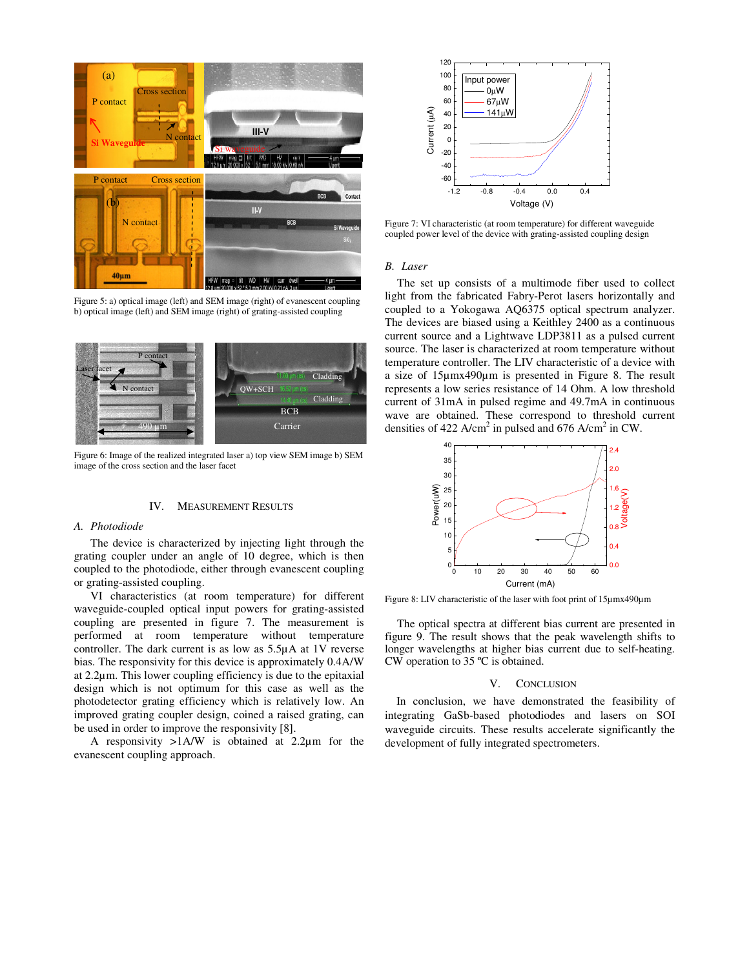

Figure 5: a) optical image (left) and SEM image (right) of evanescent coupling b) optical image (left) and SEM image (right) of grating-assisted coupling



Figure 6: Image of the realized integrated laser a) top view SEM image b) SEM image of the cross section and the laser facet

#### IV. MEASUREMENT RESULTS

## *A. Photodiode*

The device is characterized by injecting light through the grating coupler under an angle of 10 degree, which is then coupled to the photodiode, either through evanescent coupling or grating-assisted coupling.

VI characteristics (at room temperature) for different waveguide-coupled optical input powers for grating-assisted coupling are presented in figure 7. The measurement is performed at room temperature without temperature controller. The dark current is as low as 5.5µA at 1V reverse bias. The responsivity for this device is approximately 0.4A/W at 2.2µm. This lower coupling efficiency is due to the epitaxial design which is not optimum for this case as well as the photodetector grating efficiency which is relatively low. An improved grating coupler design, coined a raised grating, can be used in order to improve the responsivity [8].

A responsivity >1A/W is obtained at 2.2µm for the evanescent coupling approach.



Figure 7: VI characteristic (at room temperature) for different waveguide coupled power level of the device with grating-assisted coupling design

#### *B. Laser*

The set up consists of a multimode fiber used to collect light from the fabricated Fabry-Perot lasers horizontally and coupled to a Yokogawa AQ6375 optical spectrum analyzer. The devices are biased using a Keithley 2400 as a continuous current source and a Lightwave LDP3811 as a pulsed current source. The laser is characterized at room temperature without temperature controller. The LIV characteristic of a device with a size of 15µmx490µm is presented in Figure 8. The result represents a low series resistance of 14 Ohm. A low threshold current of 31mA in pulsed regime and 49.7mA in continuous wave are obtained. These correspond to threshold current densities of 422 A/cm<sup>2</sup> in pulsed and 676 A/cm<sup>2</sup> in CW.



Figure 8: LIV characteristic of the laser with foot print of 15µmx490µm

The optical spectra at different bias current are presented in figure 9. The result shows that the peak wavelength shifts to longer wavelengths at higher bias current due to self-heating. CW operation to 35 ºC is obtained.

#### V. CONCLUSION

In conclusion, we have demonstrated the feasibility of integrating GaSb-based photodiodes and lasers on SOI waveguide circuits. These results accelerate significantly the development of fully integrated spectrometers.